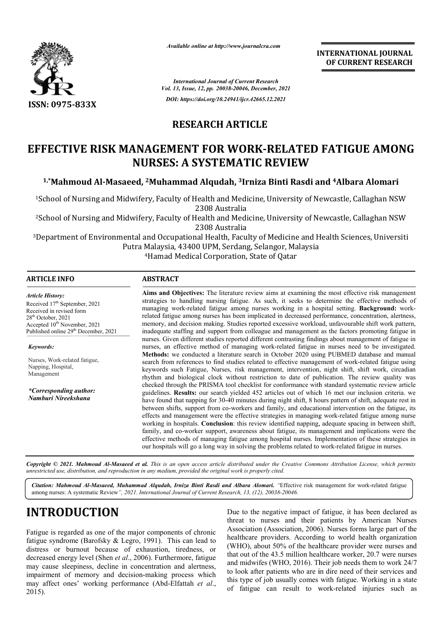

*Available online at http://www.journalcra.com*

**INTERNATIONAL JOURNAL OF CURRENT RESEARCH**

*International Journal of Current Research Vol. 13, Issue, 12, pp. 20038-20046, December, 2021 DOI: https://doi.org/10.24941/ijcr.42665.12.2021*

# **RESEARCH ARTICLE**

# **EFFECTIVE RISK MANAGEMENT FOR WORK WORK-RELATED FATIGUE AMONG NURSES: A SYSTEMATIC REVIEW** FECTIVE RISK MANAGEMENT FOR WORK-RELATED FATIGUE AMO<br>NURSES: A SYSTEMATIC REVIEW<br><sup>1,\*</sup>Mahmoud Al-Masaeed, <sup>2</sup>Muhammad Alqudah, <sup>3</sup>Irniza Binti Rasdi and <sup>4</sup>Albara Alomari

<sup>1</sup>School of Nursing and Midwifery, Faculty of Health and Medicine, University of Newcastle, Callaghan NSW 2308 Australia

<sup>2</sup>School of Nursing and Midwifery, Faculty of Health and Medicine, University of Newcastle, Callaghan NSW 2308 Australia

<sup>3</sup>Department of Environmental and Occupational Health, Faculty of Medicine and Health Sciences, Universiti Putra Malaysia, 43400 UPM, Serdang, Selangor, Malaysia 4Hamad Medi Hamad Medical Corporation, State of Qatar

### **ARTICLE INFO ABSTRACT**

**Aims and Objectives:**  The literature review aims at examining the most effective risk management strategies to handling nursing fatigue. As such, it seeks to determine the effective methods of Aims and Objectives: The literature review aims at examining the most effective risk management strategies to handling nursing fatigue. As such, it seeks to determine the effective methods of managing work-related fatigue related f fatigue among nurses has been implicated in decreased performance, concentration, alertness, memory, and decision making. Studies reported excessive workload, unfavourable shift work pattern, related fatigue among nurses has been implicated in decreased performance, concentration, alertness, memory, and decision making. Studies reported excessive workload, unfavourable shift work pattern, inadequate staffing an nurses. Given different studies reported different contrasting findings about management of fatigue in nurses, an effective method of managing work-related fatigue in nurses need to be investigated. **Methods:**  we conducted a literature search in October 2020 using PUBMED database and manual search from references to find studies related to effective management of work-related fatigue using keywords such Fatigue, Nurses, risk management, intervention, night shift, shift work, c keywords circadian rhythm and biological clock without restriction to date of publication. The review quality was checked through the PRISMA tool checklist for conformance with standard systematic review article guidelines. **Results:** our search yielded 452 articles out of which 16 met our inclusion criteria. have found that napping for 30 30-40 minutes during night shift, 8 hours pattern of shift, adequate rest in between shifts, support from co-workers and family, and educational intervention on the fatigue, its effects and management were the effective strategies in managing work working in hospitals. **Conclusion**: this review identified napping, adequate spacing in between shift, family, and co-worker support, awareness about fatigue, its management and implications were the effective methods of managing fatigue among hospital nurses. Implementation of these strategies in our hospitals will go a long way in solving the problems related to work-related fatigue in nurses. *Article History: Article History:* Received 17<sup>th</sup> September, 2021 Received in revised form Received in revised form Received in revised form  $28<sup>th</sup>$  October, 2021 Accepted  $10^{\text{th}}$  November, 2021 Published online 29<sup>th</sup> December, 2021 *Keywords:* Nurses, Work-related fatigue, Napping, Hospital, Management *\*Corresponding author: Namburi Nireekshana* nurses. Given different studies reported different contrasting findings about management of fatigue in nurses, an effective method of managing work-related fatigue in nurses need to be investigated. **Methods:** we conducted rhythm and biological clock without restriction to date of publication. The review quality was<br>checked through the PRISMA tool checklist for conformance with standard systematic review article<br>guidelines. Results: our sear und that napping for 30-40 minutes during night shift, 8 hours pattern of shift, adequate rest in<br>n shifts, support from co-workers and family, and educational intervention on the fatigue, its<br>and management were the effec working in hospitals. **Conclusion**: this review identified napping, adequate spacing in between family, and co-worker support, awareness about fatigue, its management and implications were ffective methods of managing fati

Copyright © 2021. Mahmoud Al-Masaeed et al. This is an open access article distributed under the Creative Commons Attribution License, which permits *unrestricted use, distribution, and reproduction in any medium, provided the original work is properly cited.*

Citation: Mahmoud Al-Masaeed, Muhammad Alqudah, Irniza Binti Rasdi and Albara Alomari. "Effective risk management for work-related fatigue among nurses: A systematic Review*", 2021. International Journal of Current Research, 13, (12), 20038-20046.*

# **INTRODUCTION**

Fatigue is regarded as one of the major components of chronic fatigue syndrome (Barofsky & Legro, 1991). This can lead to distress or burnout because of exhaustion, tiredness, or decreased energy level (Shen *et al*., 2006). Furthermore, fatigue may cause sleepiness, decline in concentration and alertness, decreased energy level (Shen *et al.*, 2006). Furthermore, fatigue may cause sleepiness, decline in concentration and alertness, impairment of memory and decision-making process which may affect ones' working performance (Abd (Abd-Elfattah *et al*., 2015).

Due to the negative impact of fatigue, it has been declared as threat to nurses and their patients by American Nurses Association (Association, 2006). Nurses forms large part of the healthcare providers. According to world health organization (WHO), about 50% of the healthcare provider were nurses and that out of the 43.5 million healthcare worker, 20.7 were nurses and midwifes (WHO, 2016). Their job needs them to work 24/7 to look after patients who are in dire need of their services and this type of job usually comes with fatigue. Working in a state of fatigue can result to work-related injuries such as to the negative impact of fatigue, it has been declared as<br>t to nurses and their patients by American Nurses<br>ciation (Association, 2006). Nurses forms large part of the theare providers. According to world health organization IO), about 50% of the healthcare provider were nurses and out of the 43.5 million healthcare worker, 20.7 were nurses midwifes (WHO, 2016). Their job needs them to w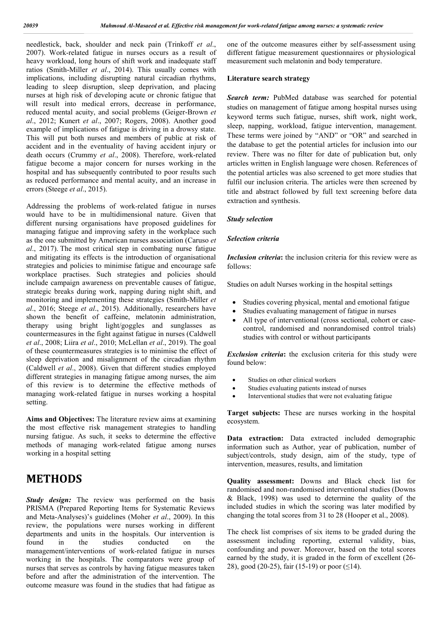needlestick, back, shoulder and neck pain (Trinkoff *et al*., 2007). Work-related fatigue in nurses occurs as a result of heavy workload, long hours of shift work and inadequate staff ratios (Smith-Miller *et al*., 2014). This usually comes with implications, including disrupting natural circadian rhythms, leading to sleep disruption, sleep deprivation, and placing nurses at high risk of developing acute or chronic fatigue that will result into medical errors, decrease in performance, reduced mental acuity, and social problems (Geiger-Brown *et al*., 2012; Kunert *et al*., 2007; Rogers, 2008). Another good example of implications of fatigue is driving in a drowsy state. This will put both nurses and members of public at risk of accident and in the eventuality of having accident injury or death occurs (Crummy *et al*., 2008). Therefore, work-related fatigue become a major concern for nurses working in the hospital and has subsequently contributed to poor results such as reduced performance and mental acuity, and an increase in errors (Steege *et al*., 2015).

Addressing the problems of work-related fatigue in nurses would have to be in multidimensional nature. Given that different nursing organisations have proposed guidelines for managing fatigue and improving safety in the workplace such as the one submitted by American nurses association (Caruso *et al*., 2017). The most critical step in combating nurse fatigue and mitigating its effects is the introduction of organisational strategies and policies to minimise fatigue and encourage safe workplace practises. Such strategies and policies should include campaign awareness on preventable causes of fatigue, strategic breaks during work, napping during night shift, and monitoring and implementing these strategies (Smith-Miller *et al*., 2016; Steege *et al*., 2015). Additionally, researchers have shown the benefit of caffeine, melatonin administration, therapy using bright light/goggles and sunglasses as countermeasures in the fight against fatigue in nurses (Caldwell *et al*., 2008; Liira *et al*., 2010; McLellan *et al*., 2019). The goal of these countermeasures strategies is to minimise the effect of sleep deprivation and misalignment of the circadian rhythm (Caldwell *et al*., 2008). Given that different studies employed different strategies in managing fatigue among nurses, the aim of this review is to determine the effective methods of managing work-related fatigue in nurses working a hospital setting.

**Aims and Objectives:** The literature review aims at examining the most effective risk management strategies to handling nursing fatigue. As such, it seeks to determine the effective methods of managing work-related fatigue among nurses working in a hospital setting

# **METHODS**

*Study design:* The review was performed on the basis PRISMA (Prepared Reporting Items for Systematic Reviews and Meta-Analyses)'s guidelines (Moher *et al*., 2009). In this review, the populations were nurses working in different departments and units in the hospitals. Our intervention is found in the studies conducted on the management/interventions of work-related fatigue in nurses working in the hospitals. The comparators were group of nurses that serves as controls by having fatigue measures taken before and after the administration of the intervention. The outcome measure was found in the studies that had fatigue as

one of the outcome measures either by self-assessment using different fatigue measurement questionnaires or physiological measurement such melatonin and body temperature.

#### **Literature search strategy**

*Search term:* PubMed database was searched for potential studies on management of fatigue among hospital nurses using keyword terms such fatigue, nurses, shift work, night work, sleep, napping, workload, fatigue intervention, management. These terms were joined by "AND" or "OR" and searched in the database to get the potential articles for inclusion into our review. There was no filter for date of publication but, only articles written in English language were chosen. References of the potential articles was also screened to get more studies that fulfil our inclusion criteria. The articles were then screened by title and abstract followed by full text screening before data extraction and synthesis.

#### *Study selection*

### *Selection criteria*

*Inclusion criteria***:** the inclusion criteria for this review were as follows:

Studies on adult Nurses working in the hospital settings

- Studies covering physical, mental and emotional fatigue
- Studies evaluating management of fatigue in nurses
- All type of interventional (cross sectional, cohort or casecontrol, randomised and nonrandomised control trials) studies with control or without participants

*Exclusion criteria***:** the exclusion criteria for this study were found below:

- Studies on other clinical workers
- Studies evaluating patients instead of nurses
- Interventional studies that were not evaluating fatigue

**Target subjects:** These are nurses working in the hospital ecosystem.

**Data extraction:** Data extracted included demographic information such as Author, year of publication, number of subject/controls, study design, aim of the study, type of intervention, measures, results, and limitation

**Quality assessment:** Downs and Black check list for randomised and non-randomised interventional studies (Downs & Black, 1998) was used to determine the quality of the included studies in which the scoring was later modified by changing the total scores from 31 to 28 (Hooper et al., 2008).

The check list comprises of six items to be graded during the assessment including reporting, external validity, bias, confounding and power. Moreover, based on the total scores earned by the study, it is graded in the form of excellent (26- 28), good (20-25), fair (15-19) or poor ( $\leq$ 14).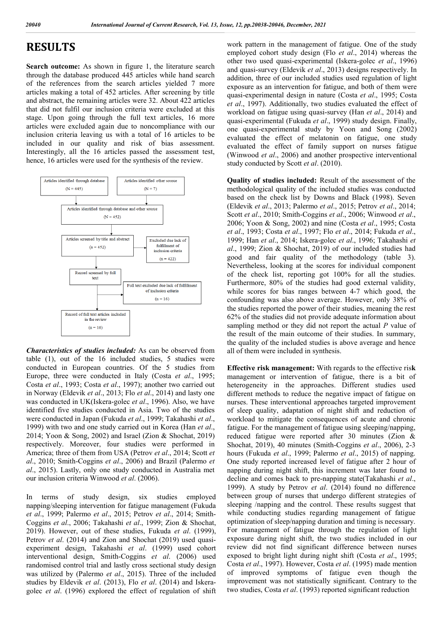## **RESULTS**

**Search outcome:** As shown in figure 1, the literature search through the database produced 445 articles while hand search of the references from the search articles yielded 7 more articles making a total of 452 articles. After screening by title and abstract, the remaining articles were 32. About 422 articles that did not fulfil our inclusion criteria were excluded at this stage. Upon going through the full text articles, 16 more articles were excluded again due to noncompliance with our inclusion criteria leaving us with a total of 16 articles to be included in our quality and risk of bias assessment. Interestingly, all the 16 articles passed the assessment test, hence, 16 articles were used for the synthesis of the review.



*Characteristics of studies included:* As can be observed from table (1), out of the 16 included studies, 5 studies were conducted in European countries. Of the 5 studies from Europe, three were conducted in Italy (Costa *et al*., 1995; Costa *et al*., 1993; Costa *et al*., 1997); another two carried out in Norway (Eldevik *et al*., 2013; Flo *et al*., 2014) and lasty one was conducted in UK(Iskera-golec *et al*., 1996). Also, we have identified five studies conducted in Asia. Two of the studies were conducted in Japan (Fukuda *et al*., 1999; Takahashi *et al*., 1999) with two and one study carried out in Korea (Han *et al*., 2014; Yoon & Song, 2002) and Israel (Zion & Shochat, 2019) respectively. Moreover, four studies were performed in America; three of them from USA (Petrov *et al*., 2014; Scott *et al*., 2010; Smith-Coggins *et al*., 2006) and Brazil (Palermo *et al*., 2015). Lastly, only one study conducted in Australia met our inclusion criteria Winwood *et al*. (2006).

In terms of study design, six studies employed napping/sleeping intervention for fatigue management (Fukuda *et al*., 1999; Palermo *et al*., 2015; Petrov *et al*., 2014; Smith-Coggins *et al*., 2006; Takahashi *et al*., 1999; Zion & Shochat, 2019). However, out of these studies, Fukuda *et al*. (1999), Petrov *et al*. (2014) and Zion and Shochat (2019) used quasiexperiment design, Takahashi *et al*. (1999) used cohort interventional design, Smith-Coggins *et al*. (2006) used randomised control trial and lastly cross sectional study design was utilized by (Palermo *et al*., 2015). Three of the included studies by Eldevik *et al*. (2013), Flo *et al*. (2014) and Iskeragolec *et al*. (1996) explored the effect of regulation of shift work pattern in the management of fatigue. One of the study employed cohort study design (Flo *et al*., 2014) whereas the other two used quasi-experimental (Iskera-golec *et al*., 1996) and quasi-survey (Eldevik *et al*., 2013) designs respectively. In addition, three of our included studies used regulation of light exposure as an intervention for fatigue, and both of them were quasi-experimental design in nature (Costa *et al*., 1995; Costa *et al*., 1997). Additionally, two studies evaluated the effect of workload on fatigue using quasi-survey (Han *et al*., 2014) and quasi-experimental (Fukuda *et al*., 1999) study design. Finally, one quasi-experimental study by Yoon and Song (2002) evaluated the effect of melatonin on fatigue, one study evaluated the effect of family support on nurses fatigue (Winwood *et al*., 2006) and another prospective interventional study conducted by Scott *et al*. (2010).

**Quality of studies included:** Result of the assessment of the methodological quality of the included studies was conducted based on the check list by Downs and Black (1998). Seven (Eldevik *et al*., 2013; Palermo *et al*., 2015; Petrov *et al*., 2014; Scott *et al*., 2010; Smith-Coggins *et al*., 2006; Winwood *et al*., 2006; Yoon & Song, 2002) and nine (Costa *et al*., 1995; Costa *et al*., 1993; Costa *et al*., 1997; Flo *et al*., 2014; Fukuda *et al*., 1999; Han *et al*., 2014; Iskera-golec *et al*., 1996; Takahashi *et al*., 1999; Zion & Shochat, 2019) of our included studies had good and fair quality of the methodology (table 3). Nevertheless, looking at the scores for individual component of the check list, reporting got 100% for all the studies. Furthermore, 80% of the studies had good external validity, while scores for bias ranges between 4-7 which good, the confounding was also above average. However, only 38% of the studies reported the power of their studies, meaning the rest 62% of the studies did not provide adequate information about sampling method or they did not report the actual *P* value of the result of the main outcome of their studies. In summary, the quality of the included studies is above average and hence all of them were included in synthesis.

**Effective risk management:** With regards to the effective ris**k** management or intervention of fatigue, there is a bit of heterogeneity in the approaches. Different studies used different methods to reduce the negative impact of fatigue on nurses. These interventional approaches targeted improvement of sleep quality, adaptation of night shift and reduction of workload to mitigate the consequences of acute and chronic fatigue. For the management of fatigue using sleeping/napping, reduced fatigue were reported after 30 minutes (Zion & Shochat, 2019), 40 minutes (Smith-Coggins *et al*., 2006), 2-3 hours (Fukuda *et al*., 1999; Palermo *et al*., 2015) of napping. One study reported increased level of fatigue after 2 hour of napping during night shift, this increment was later found to decline and comes back to pre-napping state(Takahashi *et al*., 1999). A study by Petrov *et al*. (2014) found no difference between group of nurses that undergo different strategies of sleeping /napping and the control. These results suggest that while conducting studies regarding management of fatigue optimization of sleep/napping duration and timing is necessary. For management of fatigue through the regulation of light exposure during night shift, the two studies included in our review did not find significant difference between nurses exposed to bright light during night shift (Costa *et al*., 1995; Costa *et al*., 1997). However, Costa *et al*. (1995) made mention of improved symptoms of fatigue even though the improvement was not statistically significant. Contrary to the two studies, Costa *et al*. (1993) reported significant reduction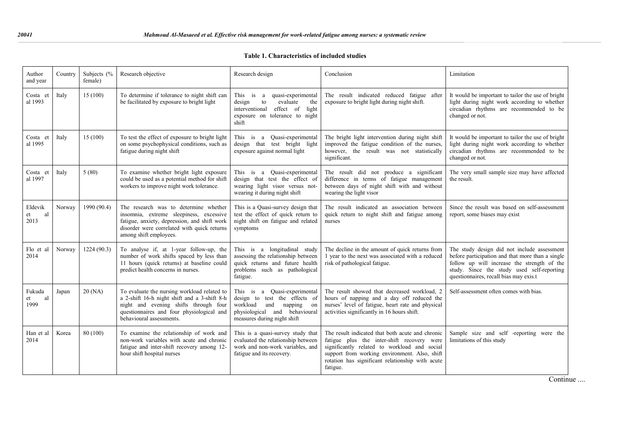| Author<br>and year          | Country | Subjects (%<br>female) | Research objective                                                                                                                                                                                            | Research design                                                                                                                                               | Conclusion                                                                                                                                                                                                                                                      | Limitation                                                                                                                                                                                                                             |  |
|-----------------------------|---------|------------------------|---------------------------------------------------------------------------------------------------------------------------------------------------------------------------------------------------------------|---------------------------------------------------------------------------------------------------------------------------------------------------------------|-----------------------------------------------------------------------------------------------------------------------------------------------------------------------------------------------------------------------------------------------------------------|----------------------------------------------------------------------------------------------------------------------------------------------------------------------------------------------------------------------------------------|--|
| Costa et<br>al 1993         | Italy   | 15(100)                | To determine if tolerance to night shift can<br>be facilitated by exposure to bright light                                                                                                                    | This is a<br>quasi-experimental<br>${\rm to}$<br>design<br>evaluate<br>the<br>interventional<br>effect of<br>light<br>exposure on tolerance to night<br>shift | The result indicated reduced fatigue after<br>exposure to bright light during night shift.                                                                                                                                                                      | It would be important to tailor the use of bright<br>light during night work according to whether<br>circadian rhythms are recommended to be<br>changed or not.                                                                        |  |
| Costa et<br>al 1995         | Italy   | 15(100)                | To test the effect of exposure to bright light<br>on some psychophysical conditions, such as<br>fatigue during night shift                                                                                    | This is a Quasi-experimental<br>design that test bright light<br>exposure against normal light                                                                | The bright light intervention during night shift<br>improved the fatigue condition of the nurses,<br>however, the result was not statistically<br>significant.                                                                                                  | It would be important to tailor the use of bright<br>light during night work according to whether<br>circadian rhythms are recommended to be<br>changed or not.                                                                        |  |
| Costa et<br>al 1997         | Italy   | 5(80)                  | To examine whether bright light exposure<br>could be used as a potential method for shift<br>workers to improve night work tolerance.                                                                         | This is a Quasi-experimental<br>design that test the effect of<br>wearing light visor versus not-<br>wearing it during night shift                            | The result did not produce a significant<br>difference in terms of fatigue management<br>between days of night shift with and without<br>wearing the light visor                                                                                                | The very small sample size may have affected<br>the result.                                                                                                                                                                            |  |
| Eldevik<br>et<br>al<br>2013 | Norway  | 1990 (90.4)            | The research was to determine whether<br>insomnia, extreme sleepiness, excessive<br>fatigue, anxiety, depression, and shift work<br>disorder were correlated with quick returns<br>among shift employees.     | This is a Quasi-survey design that<br>test the effect of quick return to<br>night shift on fatigue and related<br>symptoms                                    | The result indicated an association between<br>quick return to night shift and fatigue among<br>nurses                                                                                                                                                          | Since the result was based on self-assessment<br>report, some biases may exist                                                                                                                                                         |  |
| Flo et al<br>2014           | Norway  | 1224(90.3)             | To analyse if, at 1-year follow-up, the<br>number of work shifts spaced by less than<br>11 hours (quick returns) at baseline could<br>predict health concerns in nurses.                                      | This is a longitudinal study<br>assessing the relationship between<br>quick returns and future health<br>problems such as pathological<br>fatigue.            | The decline in the amount of quick returns from<br>1 year to the next was associated with a reduced<br>risk of pathological fatigue.                                                                                                                            | The study design did not include assessment<br>before participation and that more than a single<br>follow up will increase the strength of the<br>study. Since the study used self-reporting<br>questionnaires, recall bias may exis.t |  |
| Fukuda<br>et<br>al<br>1999  | Japan   | 20(NA)                 | To evaluate the nursing workload related to<br>a 2-shift 16-h night shift and a 3-shift 8-h<br>night and evening shifts through four<br>questionnaires and four physiological and<br>behavioural assessments. | This is a Quasi-experimental<br>design to test the effects of<br>workload and napping<br>on<br>physiological and behavioural<br>measures during night shift   | The result showed that decreased workload, 2<br>hours of napping and a day off reduced the<br>nurses' level of fatigue, heart rate and physical<br>activities significantly in 16 hours shift.                                                                  | Self-assessment often comes with bias.                                                                                                                                                                                                 |  |
| Han et al<br>2014           | Korea   | 80(100)                | To examine the relationship of work and<br>non-work variables with acute and chronic<br>fatigue and inter-shift recovery among 12-<br>hour shift hospital nurses                                              | This is a quasi-survey study that<br>evaluated the relationship between<br>work and non-work variables, and<br>fatigue and its recovery.                      | The result indicated that both acute and chronic<br>fatigue plus the inter-shift recovery were<br>significantly related to workload and social<br>support from working environment. Also, shift<br>rotation has significant relationship with acute<br>fatigue. | Sample size and self -reporting were the<br>limitations of this study                                                                                                                                                                  |  |

Continue ....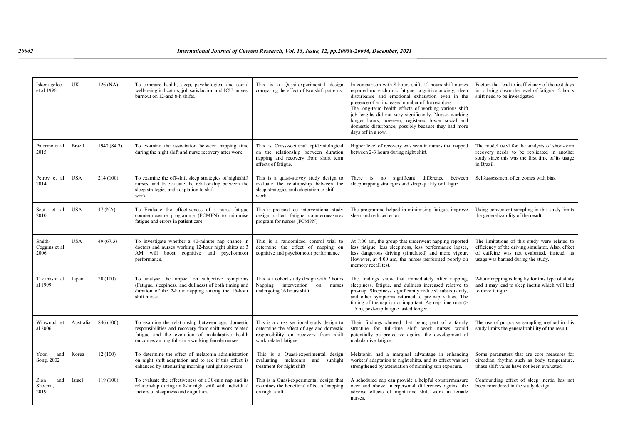| Iskera-golec<br>et al 1996      | UK         | 126 (NA)    | To compare health, sleep, psychological and social<br>well-being indicators, job satisfaction and ICU nurses'<br>burnout on 12-and 8-h shifts.                                                                  | This is a Quasi-experimental design<br>comparing the effect of two shift patterns.                                                                     | In comparison with 8 hours shift, 12 hours shift nurses<br>reported more chronic fatigue, cognitive anxiety, sleep<br>disturbance and emotional exhaustion even in the<br>presence of an increased number of the rest days.<br>The long-term health effects of working various shift<br>job lengths did not vary significantly. Nurses working<br>longer hours, however, registered lower social and<br>domestic disturbance, possibly because they had more<br>days off in a row. | Factors that lead to inefficiency of the rest days<br>in to bring down the level of fatigue 12 hours<br>shift need to be investigated                                                   |
|---------------------------------|------------|-------------|-----------------------------------------------------------------------------------------------------------------------------------------------------------------------------------------------------------------|--------------------------------------------------------------------------------------------------------------------------------------------------------|------------------------------------------------------------------------------------------------------------------------------------------------------------------------------------------------------------------------------------------------------------------------------------------------------------------------------------------------------------------------------------------------------------------------------------------------------------------------------------|-----------------------------------------------------------------------------------------------------------------------------------------------------------------------------------------|
| Palermo et al<br>2015           | Brazil     | 1940 (84.7) | To examine the association between napping time<br>during the night shift and nurse recovery after work                                                                                                         | This is Cross-sectional epidemiological<br>on the relationship between duration<br>napping and recovery from short term<br>effects of fatigue.         | Higher level of recovery was seen in nurses that napped<br>between 2-3 hours during night shift.                                                                                                                                                                                                                                                                                                                                                                                   | The model used for the analysis of short-term<br>recovery needs to be replicated in another<br>study since this was the first time of its usage<br>in Brazil.                           |
| Petrov et al<br>2014            | <b>USA</b> | 214 (100)   | To examine the off-shift sleep strategies of nightshift<br>nurses, and to evaluate the relationship between the<br>sleep strategies and adaptation to shift<br>work.                                            | This is a quasi-survey study design to<br>evaluate the relationship between the<br>sleep strategies and adaptation to shift<br>work.                   | There is no significant difference between<br>sleep/napping strategies and sleep quality or fatigue                                                                                                                                                                                                                                                                                                                                                                                | Self-assessment often comes with bias.                                                                                                                                                  |
| Scott et al<br>2010             | <b>USA</b> | 47 (NA)     | To Evaluate the effectiveness of a nurse fatigue<br>countermeasure programme (FCMPN) to minimise<br>fatigue and errors in patient care                                                                          | This is pre-post-test interventional study<br>design called fatigue countermeasures<br>program for nurses (FCMPN)                                      | The programme helped in minimising fatigue, improve<br>sleep and reduced error                                                                                                                                                                                                                                                                                                                                                                                                     | Using convenient sampling in this study limits<br>the generalizability of the result.                                                                                                   |
| Smith-<br>Coggins et al<br>2006 | <b>USA</b> | 49(67.3)    | To investigate whether a 40-minute nap chance in<br>doctors and nurses working 12-hour night shifts at 3<br>AM will boost cognitive and psychomotor<br>performance.                                             | This is a randomized control trial to<br>determine the effect of napping on<br>cognitive and psychomotor performance                                   | At 7:00 am, the group that underwent napping reported<br>less fatigue, less sleepiness, less performance lapses,<br>less dangerous driving (simulated) and more vigour.<br>However, at 4:00 am, the nurses performed poorly on<br>memory recall test.                                                                                                                                                                                                                              | The limitations of this study were related to<br>efficiency of the driving simulator. Also, effect<br>of caffeine was not evaluated, instead, its<br>usage was banned during the study. |
| Takahashi et<br>al 1999         | Japan      | 20(100)     | To analyse the impact on subjective symptoms<br>(Fatigue, sleepiness, and dullness) of both timing and<br>duration of the 2-hour napping among the 16-hour<br>shift nurses                                      | This is a cohort study design with 2 hours<br>Napping intervention on nurses<br>undergoing 16 hours shift                                              | The findings show that immediately after napping,<br>sleepiness, fatigue, and dullness increased relative to<br>pre-nap. Sleepiness significantly reduced subsequently,<br>and other symptoms returned to pre-nap values. The<br>timing of the nap is not important. As nap time rose $($<br>1.5 h), post-nap fatigue lasted longer.                                                                                                                                               | 2-hour napping is lengthy for this type of study<br>and it may lead to sleep inertia which will lead<br>to more fatigue.                                                                |
| Winwood et<br>al 2006           | Australia  | 846 (100)   | To examine the relationship between age, domestic<br>responsibilities and recovery from shift work related<br>fatigue and the evolution of maladaptive health<br>outcomes among full-time working female nurses | This is a cross sectional study design to<br>determine the effect of age and domestic<br>responsibility on recovery from shift<br>work related fatigue | Their findings showed that being part of a family<br>structure for full-time shift work nurses would<br>potentially be protective against the development of<br>maladaptive fatigue.                                                                                                                                                                                                                                                                                               | The use of purposive sampling method in this<br>study limits the generalizability of the result.                                                                                        |
| Yoon<br>and<br>Song, 2002       | Korea      | 12(100)     | To determine the effect of melatonin administration<br>on night shift adaptation and to see if this effect is<br>enhanced by attenuating morning sunlight exposure                                              | This is a Quasi-experimental design<br>evaluating melatonin and<br>sunlight<br>treatment for night shift                                               | Melatonin had a marginal advantage in enhancing<br>workers' adaptation to night shifts, and its effect was not<br>strengthened by attenuation of morning sun exposure.                                                                                                                                                                                                                                                                                                             | Some parameters that are core measures for<br>circadian rhythm such as body temperature,<br>phase shift value have not been evaluated.                                                  |
| Zion<br>and<br>Shochat,<br>2019 | Israel     | 119 (100)   | To evaluate the effectiveness of a 30-min nap and its<br>relationship during an 8-hr night shift with individual<br>factors of sleepiness and cognition.                                                        | This is a Quasi-experimental design that<br>examines the beneficial effect of napping<br>on night shift.                                               | A scheduled nap can provide a helpful countermeasure<br>over and above interpersonal differences against the<br>adverse effects of night-time shift work in female<br>nurses.                                                                                                                                                                                                                                                                                                      | Confounding effect of sleep inertia has not<br>been considered in the study design.                                                                                                     |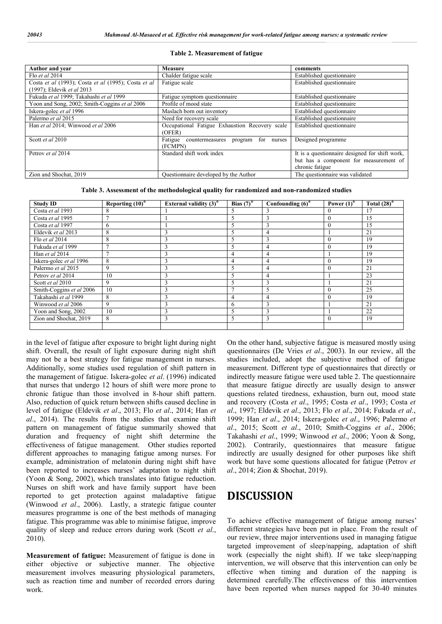| Author and year                                     | <b>Measure</b>                                 | comments                                       |
|-----------------------------------------------------|------------------------------------------------|------------------------------------------------|
| Flo et al $2014$                                    | Chalder fatigue scale                          | Established questionnaire                      |
| Costa et al (1993); Costa et al (1995); Costa et al | Fatigue scale                                  | Established questionnaire                      |
| (1997); Eldevik et al 2013                          |                                                |                                                |
| Fukuda et al 1999; Takahashi et al 1999             | Fatigue symptom questionnaire                  | Established questionnaire                      |
| Yoon and Song, 2002; Smith-Coggins et al 2006       | Profile of mood state                          | Established questionnaire                      |
| Iskera-golec et al 1996                             | Maslach born out inventory                     | Established questionnaire                      |
| Palermo et al 2015                                  | Need for recovery scale                        | Established questionnaire                      |
| Han et al 2014; Winwood et al 2006                  | Occupational Fatigue Exhaustion Recovery scale | Established questionnaire                      |
|                                                     | (OFER)                                         |                                                |
| Scott et al 2010                                    | Fatigue countermeasures program for nurses     | Designed programme                             |
|                                                     | (FCMPN)                                        |                                                |
| Petrov et al 2014                                   | Standard shift work index                      | It is a questionnaire designed for shift work, |
|                                                     |                                                | but has a component for measurement of         |
|                                                     |                                                | chronic fatigue                                |
| Zion and Shochat, 2019                              | Questionnaire developed by the Author          | The questionnaire was validated                |

#### **Table 2. Measurement of fatigue**

**Table 3. Assessment of the methodological quality for randomized and non-randomized studies**

| <b>Study ID</b>          | Reporting $(10)^*$ | External validity $(3)^*$ | Bias $(7)^*$ | Confounding $(6)$ <sup>*</sup> | Power $(1)^*$ | Total $(28)^*$ |
|--------------------------|--------------------|---------------------------|--------------|--------------------------------|---------------|----------------|
| Costa et al 1993         |                    |                           |              |                                |               |                |
| Costa et al 1995         |                    |                           | 5            |                                | $\Omega$      | 15             |
| Costa et al 1997         | 6                  |                           |              |                                | $\mathbf{0}$  | 15             |
| Eldevik et al 2013       | 8                  |                           |              |                                |               | 21             |
| Flo et al 2014           | 8                  |                           | 5            | 3                              | $\theta$      | 19             |
| Fukuda et al 1999        |                    |                           | 5            | 4                              | $\Omega$      | 19             |
| Han et al 2014           |                    |                           | 4            | 4                              |               | 19             |
| Iskera-golec et al 1996  | 8                  |                           | 4            |                                | $\theta$      | 19             |
| Palermo et al 2015       | $\mathbf Q$        |                           | 5            | 4                              | $\Omega$      | 21             |
| Petrov et al 2014        | 10                 |                           | 5            |                                |               | 23             |
| Scott et al 2010         | 9                  |                           |              |                                |               | 21             |
| Smith-Coggins et al 2006 | 10                 |                           | n            |                                | $\theta$      | 25             |
| Takahashi et al 1999     | 8                  |                           | 4            |                                | $\theta$      | 19             |
| Winwood et al 2006       | Q                  |                           | 6            | 3                              |               | 21             |
| Yoon and Song, 2002      | 10                 |                           | 5            | 3                              |               | 22             |
| Zion and Shochat, 2019   | 8                  | 3                         | 5            | 3                              | $\theta$      | 19             |
|                          |                    |                           |              |                                |               |                |

in the level of fatigue after exposure to bright light during night shift. Overall, the result of light exposure during night shift may not be a best strategy for fatigue management in nurses. Additionally, some studies used regulation of shift pattern in the management of fatigue. Iskera-golec *et al*. (1996) indicated that nurses that undergo 12 hours of shift were more prone to chronic fatigue than those involved in 8-hour shift pattern. Also, reduction of quick return between shifts caused decline in level of fatigue (Eldevik *et al*., 2013; Flo *et al*., 2014; Han *et al*., 2014). The results from the studies that examine shift pattern on management of fatigue summarily showed that duration and frequency of night shift determine the effectiveness of fatigue management. Other studies reported different approaches to managing fatigue among nurses. For example, administration of melatonin during night shift have been reported to increases nurses' adaptation to night shift (Yoon & Song, 2002), which translates into fatigue reduction. Nurses on shift work and have family support have been reported to get protection against maladaptive fatigue (Winwood *et al*., 2006). Lastly, a strategic fatigue counter measures programme is one of the best methods of managing fatigue. This programme was able to minimise fatigue, improve quality of sleep and reduce errors during work (Scott *et al*., 2010).

**Measurement of fatigue:** Measurement of fatigue is done in either objective or subjective manner. The objective measurement involves measuring physiological parameters, such as reaction time and number of recorded errors during work.

On the other hand, subjective fatigue is measured mostly using questionnaires (De Vries *et al*., 2003). In our review, all the studies included, adopt the subjective method of fatigue measurement. Different type of questionnaires that directly or indirectly measure fatigue were used table 2. The questionnaire that measure fatigue directly are usually design to answer questions related tiredness, exhaustion, burn out, mood state and recovery (Costa *et al*., 1995; Costa *et al*., 1993; Costa *et al*., 1997; Eldevik *et al*., 2013; Flo *et al*., 2014; Fukuda *et al*., 1999; Han *et al*., 2014; Iskera-golec *et al*., 1996; Palermo *et al*., 2015; Scott *et al*., 2010; Smith-Coggins *et al*., 2006; Takahashi *et al*., 1999; Winwood *et al*., 2006; Yoon & Song, 2002). Contrarily, questionnaires that measure fatigue indirectly are usually designed for other purposes like shift work but have some questions allocated for fatigue (Petrov *et al*., 2014; Zion & Shochat, 2019).

# **DISCUSSION**

To achieve effective management of fatigue among nurses' different strategies have been put in place. From the result of our review, three major interventions used in managing fatigue targeted improvement of sleep/napping, adaptation of shift work (especially the night shift). If we take sleep/napping intervention, we will observe that this intervention can only be effective when timing and duration of the napping is determined carefully.The effectiveness of this intervention have been reported when nurses napped for 30-40 minutes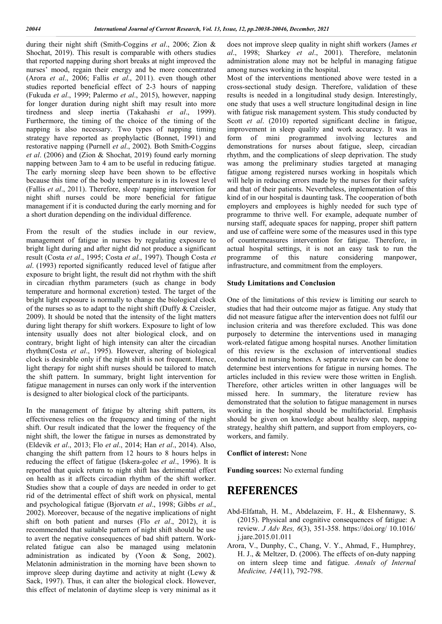during their night shift (Smith-Coggins *et al*., 2006; Zion & Shochat, 2019). This result is comparable with others studies that reported napping during short breaks at night improved the nurses' mood, regain their energy and be more concentrated (Arora *et al*., 2006; Fallis *et al*., 2011). even though other studies reported beneficial effect of 2-3 hours of napping (Fukuda *et al*., 1999; Palermo *et al*., 2015), however, napping for longer duration during night shift may result into more tiredness and sleep inertia (Takahashi *et al*., 1999). Furthermore, the timing of the choice of the timing of the napping is also necessary. Two types of napping timing strategy have reported as prophylactic (Bonnet, 1991) and restorative napping (Purnell *et al*., 2002). Both Smith-Coggins *et al*. (2006) and (Zion & Shochat, 2019) found early morning napping between 3am to 4 am to be useful in reducing fatigue. The early morning sleep have been shown to be effective because this time of the body temperature is in its lowest level (Fallis *et al*., 2011). Therefore, sleep/ napping intervention for night shift nurses could be more beneficial for fatigue management if it is conducted during the early morning and for a short duration depending on the individual difference.

From the result of the studies include in our review, management of fatigue in nurses by regulating exposure to bright light during and after night did not produce a significant result (Costa *et al*., 1995; Costa *et al*., 1997). Though Costa *et al*. (1993) reported significantly reduced level of fatigue after exposure to bright light, the result did not rhythm with the shift in circadian rhythm parameters (such as change in body temperature and hormonal excretion) tested. The target of the bright light exposure is normally to change the biological clock of the nurses so as to adapt to the night shift (Duffy & Czeisler, 2009). It should be noted that the intensity of the light matters during light therapy for shift workers. Exposure to light of low intensity usually does not alter biological clock, and on contrary, bright light of high intensity can alter the circadian rhythm(Costa *et al*., 1995). However, altering of biological clock is desirable only if the night shift is not frequent. Hence, light therapy for night shift nurses should be tailored to match the shift pattern. In summary, bright light intervention for fatigue management in nurses can only work if the intervention is designed to alter biological clock of the participants.

In the management of fatigue by altering shift pattern, its effectiveness relies on the frequency and timing of the night shift. Our result indicated that the lower the frequency of the night shift, the lower the fatigue in nurses as demonstrated by (Eldevik *et al*., 2013; Flo *et al*., 2014; Han *et al*., 2014). Also, changing the shift pattern from 12 hours to 8 hours helps in reducing the effect of fatigue (Iskera-golec *et al*., 1996). It is reported that quick return to night shift has detrimental effect on health as it affects circadian rhythm of the shift worker. Studies show that a couple of days are needed in order to get rid of the detrimental effect of shift work on physical, mental and psychological fatigue (Bjorvatn *et al*., 1998; Gibbs *et al*., 2002). Moreover, because of the negative implications of night shift on both patient and nurses (Flo *et al*., 2012), it is recommended that suitable pattern of night shift should be use to avert the negative consequences of bad shift pattern. Workrelated fatigue can also be managed using melatonin administration as indicated by (Yoon & Song, 2002). Melatonin administration in the morning have been shown to improve sleep during daytime and activity at night (Lewy & Sack, 1997). Thus, it can alter the biological clock. However, this effect of melatonin of daytime sleep is very minimal as it

does not improve sleep quality in night shift workers (James *et al*., 1998; Sharkey *et al*., 2001). Therefore, melatonin administration alone may not be helpful in managing fatigue among nurses working in the hospital.

Most of the interventions mentioned above were tested in a cross-sectional study design. Therefore, validation of these results is needed in a longitudinal study design. Interestingly, one study that uses a well structure longitudinal design in line with fatigue risk management system. This study conducted by Scott *et al.* (2010) reported significant decline in fatigue, improvement in sleep quality and work accuracy. It was in form of mini programmed involving lectures and demonstrations for nurses about fatigue, sleep, circadian rhythm, and the complications of sleep deprivation. The study was among the preliminary studies targeted at managing fatigue among registered nurses working in hospitals which will help in reducing errors made by the nurses for their safety and that of their patients. Nevertheless, implementation of this kind of in our hospital is daunting task. The cooperation of both employers and employees is highly needed for such type of programme to thrive well. For example, adequate number of nursing staff, adequate spaces for napping, proper shift pattern and use of caffeine were some of the measures used in this type of countermeasures intervention for fatigue. Therefore, in actual hospital settings, it is not an easy task to run the programme of this nature considering manpower, infrastructure, and commitment from the employers.

#### **Study Limitations and Conclusion**

One of the limitations of this review is limiting our search to studies that had their outcome major as fatigue. Any study that did not measure fatigue after the intervention does not fulfil our inclusion criteria and was therefore excluded. This was done purposely to determine the interventions used in managing work-related fatigue among hospital nurses. Another limitation of this review is the exclusion of interventional studies conducted in nursing homes. A separate review can be done to determine best interventions for fatigue in nursing homes. The articles included in this review were those written in English. Therefore, other articles written in other languages will be missed here. In summary, the literature review has demonstrated that the solution to fatigue management in nurses working in the hospital should be multifactorial. Emphasis should be given on knowledge about healthy sleep, napping strategy, healthy shift pattern, and support from employers, coworkers, and family.

#### **Conflict of interest:** None

**Funding sources:** No external funding

# **REFERENCES**

- Abd-Elfattah, H. M., Abdelazeim, F. H., & Elshennawy, S. (2015). Physical and cognitive consequences of fatigue: A review. *J Adv Res, 6*(3), 351-358. https://doi.org/ 10.1016/ j.jare.2015.01.011
- Arora, V., Dunphy, C., Chang, V. Y., Ahmad, F., Humphrey, H. J., & Meltzer, D. (2006). The effects of on-duty napping on intern sleep time and fatigue. *Annals of Internal Medicine, 144*(11), 792-798.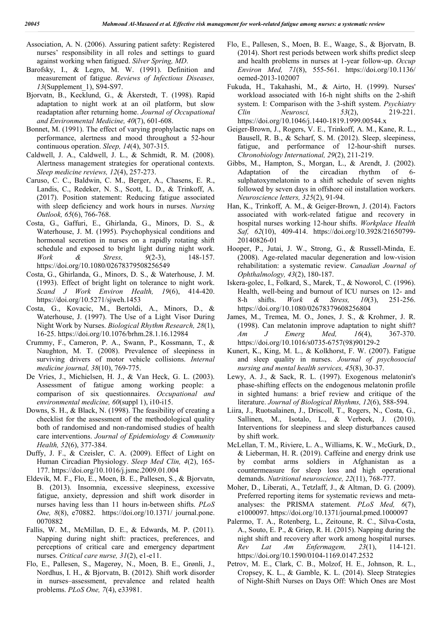- Association, A. N. (2006). Assuring patient safety: Registered nurses' responsibility in all roles and settings to guard against working when fatigued. *Silver Spring, MD*.
- Barofsky, I., & Legro, M. W. (1991). Definition and measurement of fatigue. *Reviews of Infectious Diseases, 13*(Supplement\_1), S94-S97.
- Bjorvatn, B., Kecklund, G., & Åkerstedt, T. (1998). Rapid adaptation to night work at an oil platform, but slow readaptation after returning home. *Journal of Occupational and Environmental Medicine, 40*(7), 601-608.
- Bonnet, M. (1991). The effect of varying prophylactic naps on performance, alertness and mood throughout a 52-hour continuous operation. *Sleep, 14*(4), 307-315.
- Caldwell, J. A., Caldwell, J. L., & Schmidt, R. M. (2008). Alertness management strategies for operational contexts. *Sleep medicine reviews, 12*(4), 257-273.
- Caruso, C. C., Baldwin, C. M., Berger, A., Chasens, E. R., Landis, C., Redeker, N. S., Scott, L. D., & Trinkoff, A. (2017). Position statement: Reducing fatigue associated with sleep deficiency and work hours in nurses. *Nursing Outlook, 65*(6), 766-768.
- Costa, G., Gaffuri, E., Ghirlanda, G., Minors, D. S., & Waterhouse, J. M. (1995). Psychophysical conditions and hormonal secretion in nurses on a rapidly rotating shift schedule and exposed to bright light during night work. *Work & Stress, 9*(2-3), 148-157. https://doi.org/10.1080/02678379508256549
- Costa, G., Ghirlanda, G., Minors, D. S., & Waterhouse, J. M. (1993). Effect of bright light on tolerance to night work. *Scand J Work Environ Health, 19*(6), 414-420. https://doi.org/10.5271/sjweh.1453
- Costa, G., Kovacic, M., Bertoldi, A., Minors, D., & Waterhouse, J. (1997). The Use of a Light Visor During Night Work by Nurses. *Biological Rhythm Research, 28*(1), 16-25. https://doi.org/10.1076/brhm.28.1.16.12984
- Crummy, F., Cameron, P. A., Swann, P., Kossmann, T., & Naughton, M. T. (2008). Prevalence of sleepiness in surviving drivers of motor vehicle collisions. *Internal medicine journal, 38*(10), 769-775.
- De Vries, J., Michielsen, H. J., & Van Heck, G. L. (2003). Assessment of fatigue among working people: a comparison of six questionnaires. *Occupational and environmental medicine, 60*(suppl 1), i10-i15.
- Downs, S. H., & Black, N. (1998). The feasibility of creating a checklist for the assessment of the methodological quality both of randomised and non-randomised studies of health care interventions. *Journal of Epidemiology & Community Health, 52*(6), 377-384.
- Duffy, J. F., & Czeisler, C. A. (2009). Effect of Light on Human Circadian Physiology. *Sleep Med Clin, 4*(2), 165- 177. https://doi.org/10.1016/j.jsmc.2009.01.004
- Eldevik, M. F., Flo, E., Moen, B. E., Pallesen, S., & Bjorvatn, B. (2013). Insomnia, excessive sleepiness, excessive fatigue, anxiety, depression and shift work disorder in nurses having less than 11 hours in-between shifts. *PLoS One, 8*(8), e70882. https://doi.org/10.1371/ journal.pone. 0070882
- Fallis, W. M., McMillan, D. E., & Edwards, M. P. (2011). Napping during night shift: practices, preferences, and perceptions of critical care and emergency department nurses. *Critical care nurse, 31*(2), e1-e11.
- Flo, E., Pallesen, S., Magerøy, N., Moen, B. E., Grønli, J., Nordhus, I. H., & Bjorvatn, B. (2012). Shift work disorder in nurses–assessment, prevalence and related health problems. *PLoS One, 7*(4), e33981.
- Flo, E., Pallesen, S., Moen, B. E., Waage, S., & Bjorvatn, B. (2014). Short rest periods between work shifts predict sleep and health problems in nurses at 1-year follow-up. *Occup Environ Med, 71*(8), 555-561. https://doi.org/10.1136/ oemed-2013-102007
- Fukuda, H., Takahashi, M., & Airto, H. (1999). Nurses' workload associated with 16-h night shifts on the 2-shift system. I: Comparison with the 3-shift system. *Psychiatry Clin Neurosci, 53*(2), 219-221. https://doi.org/10.1046/j.1440-1819.1999.00544.x
- Geiger-Brown, J., Rogers, V. E., Trinkoff, A. M., Kane, R. L., Bausell, R. B., & Scharf, S. M. (2012). Sleep, sleepiness, fatigue, and performance of 12-hour-shift nurses. *Chronobiology International, 29*(2), 211-219.
- Gibbs, M., Hampton, S., Morgan, L., & Arendt, J. (2002). Adaptation of the circadian rhythm of 6 sulphatoxymelatonin to a shift schedule of seven nights followed by seven days in offshore oil installation workers. *Neuroscience letters, 325*(2), 91-94.
- Han, K., Trinkoff, A. M., & Geiger-Brown, J. (2014). Factors associated with work-related fatigue and recovery in hospital nurses working 12-hour shifts. *Workplace Health Saf, 62*(10), 409-414. https://doi.org/10.3928/21650799- 20140826-01
- Hooper, P., Jutai, J. W., Strong, G., & Russell-Minda, E. (2008). Age-related macular degeneration and low-vision rehabilitation: a systematic review. *Canadian Journal of Ophthalmology, 43*(2), 180-187.
- Iskera-golec, I., Folkard, S., Marek, T., & Noworol, C. (1996). Health, well-being and burnout of ICU nurses on 12- and 8-h shifts. *Work & Stress, 10*(3), 251-256. https://doi.org/10.1080/02678379608256804
- James, M., Tremea, M. O., Jones, J. S., & Krohmer, J. R. (1998). Can melatonin improve adaptation to night shift? *Am J Emerg Med, 16*(4), 367-370. https://doi.org/10.1016/s0735-6757(98)90129-2
- Kunert, K., King, M. L., & Kolkhorst, F. W. (2007). Fatigue and sleep quality in nurses. *Journal of psychosocial nursing and mental health services, 45*(8), 30-37.
- Lewy, A. J., & Sack, R. L. (1997). Exogenous melatonin's phase-shifting effects on the endogenous melatonin profile in sighted humans: a brief review and critique of the literature. *Journal of Biological Rhythms, 12*(6), 588-594.
- Liira, J., Ruotsalainen, J., Driscoll, T., Rogers, N., Costa, G., Sallinen, M., Isotalo, L., & Verbeek, J. (2010). Interventions for sleepiness and sleep disturbances caused by shift work.
- McLellan, T. M., Riviere, L. A., Williams, K. W., McGurk, D., & Lieberman, H. R. (2019). Caffeine and energy drink use by combat arms soldiers in Afghanistan as a countermeasure for sleep loss and high operational demands. *Nutritional neuroscience, 22*(11), 768-777.
- Moher, D., Liberati, A., Tetzlaff, J., & Altman, D. G. (2009). Preferred reporting items for systematic reviews and metaanalyses: the PRISMA statement. *PLoS Med, 6*(7), e1000097. https://doi.org/10.1371/journal.pmed.1000097
- Palermo, T. A., Rotenberg, L., Zeitoune, R. C., Silva-Costa, A., Souto, E. P., & Griep, R. H. (2015). Napping during the night shift and recovery after work among hospital nurses. *Rev Lat Am Enfermagem, 23*(1), 114-121. https://doi.org/10.1590/0104-1169.0147.2532
- Petrov, M. E., Clark, C. B., Molzof, H. E., Johnson, R. L., Cropsey, K. L., & Gamble, K. L. (2014). Sleep Strategies of Night-Shift Nurses on Days Off: Which Ones are Most